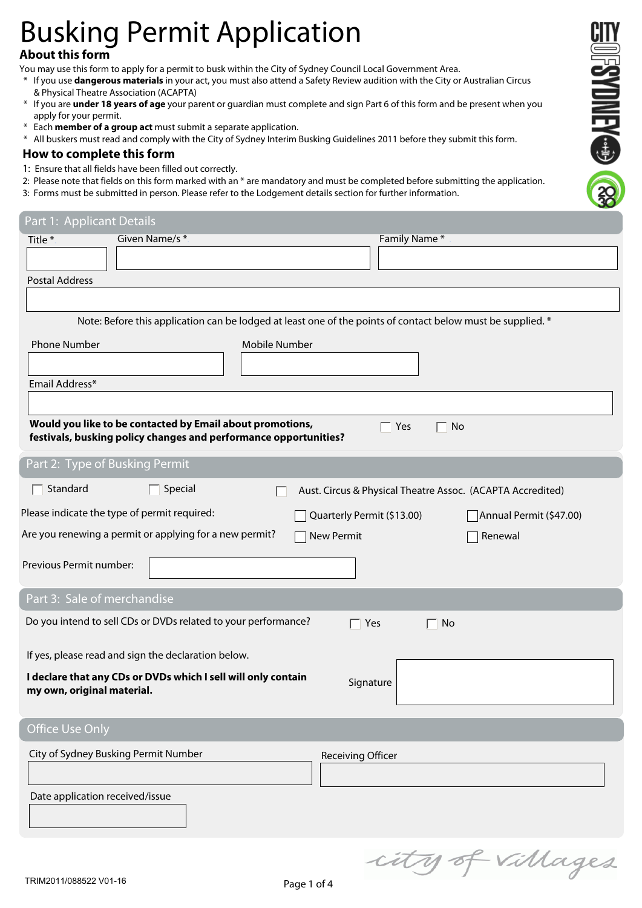# Busking Permit Application

## **About this form**

You may use this form to apply for a permit to busk within the City of Sydney Council Local Government Area.

- \* If you use **dangerous materials** in your act, you must also attend a Safety Review audition with the City or Australian Circus & Physical Theatre Association (ACAPTA)
- \* If you are **under 18 years of age** your parent or guardian must complete and sign Part 6 of this form and be present when you apply for your permit.

**OFSYDNEY CONSERVER** 

- \* Each **member of a group act** must submit a separate application.
- \* All buskers must read and comply with the City of Sydney Interim Busking Guidelines 2011 before they submit this form.

#### **How to complete this form**

- 1: Ensure that all fields have been filled out correctly.
- 2: Please note that fields on this form marked with an \* are mandatory and must be completed before submitting the application.
- 3: Forms must be submitted in person. Please refer to the Lodgement details section for further information.

| Part 1: Applicant Details                                                                                                     |                                                            |
|-------------------------------------------------------------------------------------------------------------------------------|------------------------------------------------------------|
| Given Name/s*<br>Title *                                                                                                      | Family Name*                                               |
|                                                                                                                               |                                                            |
| <b>Postal Address</b>                                                                                                         |                                                            |
|                                                                                                                               |                                                            |
| Note: Before this application can be lodged at least one of the points of contact below must be supplied. *                   |                                                            |
| <b>Phone Number</b><br><b>Mobile Number</b>                                                                                   |                                                            |
|                                                                                                                               |                                                            |
| Email Address*                                                                                                                |                                                            |
|                                                                                                                               |                                                            |
| Would you like to be contacted by Email about promotions,<br>festivals, busking policy changes and performance opportunities? | Yes<br>No                                                  |
|                                                                                                                               |                                                            |
| Part 2: Type of Busking Permit                                                                                                |                                                            |
| Standard<br>Special                                                                                                           | Aust. Circus & Physical Theatre Assoc. (ACAPTA Accredited) |
| Please indicate the type of permit required:                                                                                  | Quarterly Permit (\$13.00)<br>Annual Permit (\$47.00)      |
| Are you renewing a permit or applying for a new permit?<br>New Permit                                                         | Renewal                                                    |
|                                                                                                                               |                                                            |
| Previous Permit number:                                                                                                       |                                                            |
| Part 3: Sale of merchandise                                                                                                   |                                                            |
| Do you intend to sell CDs or DVDs related to your performance?                                                                | Yes<br>$\sqsupset$ No<br>$\overline{a}$                    |
| If yes, please read and sign the declaration below.                                                                           |                                                            |
| I declare that any CDs or DVDs which I sell will only contain                                                                 |                                                            |
| my own, original material.                                                                                                    | Signature                                                  |
|                                                                                                                               |                                                            |
| <b>Office Use Only</b>                                                                                                        |                                                            |
| City of Sydney Busking Permit Number                                                                                          | <b>Receiving Officer</b>                                   |
|                                                                                                                               |                                                            |
| Date application received/issue                                                                                               |                                                            |
|                                                                                                                               |                                                            |
|                                                                                                                               |                                                            |
|                                                                                                                               | city of villages                                           |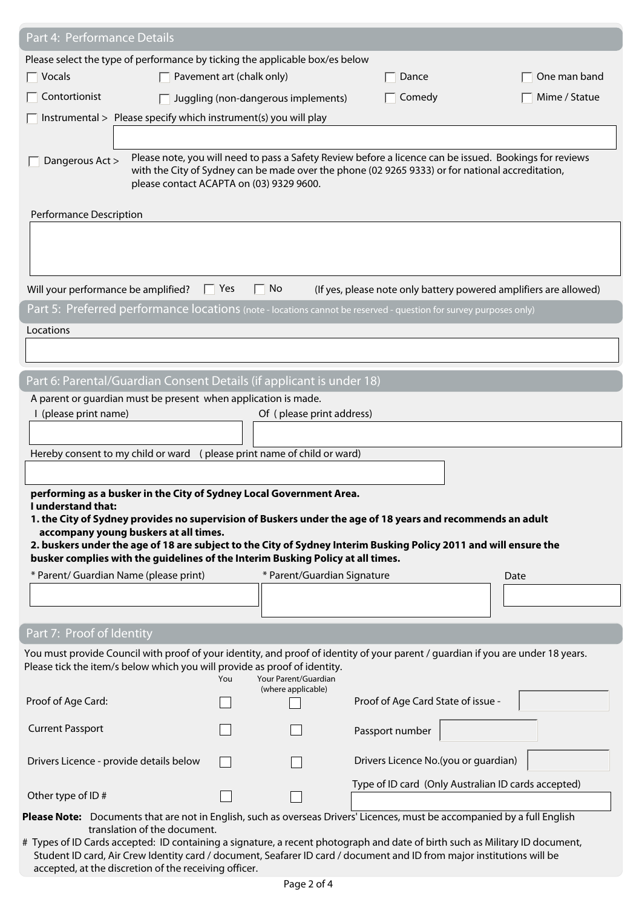| Part 4: Performance Details                                                                                                                                                                         |                           |                                     |                                                                                                  |                                                                                                         |
|-----------------------------------------------------------------------------------------------------------------------------------------------------------------------------------------------------|---------------------------|-------------------------------------|--------------------------------------------------------------------------------------------------|---------------------------------------------------------------------------------------------------------|
| Please select the type of performance by ticking the applicable box/es below                                                                                                                        |                           |                                     |                                                                                                  |                                                                                                         |
| $\overline{\phantom{a}}$ Vocals                                                                                                                                                                     | Pavement art (chalk only) |                                     | Dance                                                                                            | One man band                                                                                            |
| Contortionist                                                                                                                                                                                       |                           | Juggling (non-dangerous implements) | Comedy                                                                                           | Mime / Statue                                                                                           |
| Instrumental > Please specify which instrument(s) you will play                                                                                                                                     |                           |                                     |                                                                                                  |                                                                                                         |
|                                                                                                                                                                                                     |                           |                                     |                                                                                                  |                                                                                                         |
| Dangerous Act ><br>please contact ACAPTA on (03) 9329 9600.                                                                                                                                         |                           |                                     | with the City of Sydney can be made over the phone (02 9265 9333) or for national accreditation, | Please note, you will need to pass a Safety Review before a licence can be issued. Bookings for reviews |
| Performance Description                                                                                                                                                                             |                           |                                     |                                                                                                  |                                                                                                         |
|                                                                                                                                                                                                     |                           |                                     |                                                                                                  |                                                                                                         |
| Will your performance be amplified?                                                                                                                                                                 | $\Box$ Yes<br>L.          | No                                  |                                                                                                  | (If yes, please note only battery powered amplifiers are allowed)                                       |
| Part 5: Preferred performance locations (note - locations cannot be reserved - question for survey purposes only)                                                                                   |                           |                                     |                                                                                                  |                                                                                                         |
| Locations                                                                                                                                                                                           |                           |                                     |                                                                                                  |                                                                                                         |
|                                                                                                                                                                                                     |                           |                                     |                                                                                                  |                                                                                                         |
| Part 6: Parental/Guardian Consent Details (if applicant is under 18)                                                                                                                                |                           |                                     |                                                                                                  |                                                                                                         |
| A parent or guardian must be present when application is made.                                                                                                                                      |                           |                                     |                                                                                                  |                                                                                                         |
| I (please print name)                                                                                                                                                                               |                           | Of (please print address)           |                                                                                                  |                                                                                                         |
|                                                                                                                                                                                                     |                           |                                     |                                                                                                  |                                                                                                         |
| Hereby consent to my child or ward (please print name of child or ward)                                                                                                                             |                           |                                     |                                                                                                  |                                                                                                         |
|                                                                                                                                                                                                     |                           |                                     |                                                                                                  |                                                                                                         |
| performing as a busker in the City of Sydney Local Government Area.                                                                                                                                 |                           |                                     |                                                                                                  |                                                                                                         |
| I understand that:<br>1. the City of Sydney provides no supervision of Buskers under the age of 18 years and recommends an adult                                                                    |                           |                                     |                                                                                                  |                                                                                                         |
| accompany young buskers at all times.                                                                                                                                                               |                           |                                     |                                                                                                  |                                                                                                         |
| 2. buskers under the age of 18 are subject to the City of Sydney Interim Busking Policy 2011 and will ensure the<br>busker complies with the guidelines of the Interim Busking Policy at all times. |                           |                                     |                                                                                                  |                                                                                                         |
| * Parent/ Guardian Name (please print)                                                                                                                                                              |                           | * Parent/Guardian Signature         |                                                                                                  | Date                                                                                                    |
|                                                                                                                                                                                                     |                           |                                     |                                                                                                  |                                                                                                         |
|                                                                                                                                                                                                     |                           |                                     |                                                                                                  |                                                                                                         |
| Part 7: Proof of Identity                                                                                                                                                                           |                           |                                     |                                                                                                  |                                                                                                         |
| You must provide Council with proof of your identity, and proof of identity of your parent / guardian if you are under 18 years.                                                                    |                           |                                     |                                                                                                  |                                                                                                         |
| Please tick the item/s below which you will provide as proof of identity.                                                                                                                           | You                       | Your Parent/Guardian                |                                                                                                  |                                                                                                         |
|                                                                                                                                                                                                     |                           | (where applicable)                  |                                                                                                  |                                                                                                         |
| Proof of Age Card:                                                                                                                                                                                  |                           |                                     | Proof of Age Card State of issue -                                                               |                                                                                                         |
| <b>Current Passport</b>                                                                                                                                                                             |                           |                                     | Passport number                                                                                  |                                                                                                         |
| Drivers Licence - provide details below                                                                                                                                                             |                           |                                     | Drivers Licence No.(you or guardian)                                                             |                                                                                                         |
| Other type of ID#                                                                                                                                                                                   |                           |                                     |                                                                                                  | Type of ID card (Only Australian ID cards accepted)                                                     |
| Please Note: Documents that are not in English, such as overseas Drivers' Licences, must be accompanied by a full English                                                                           |                           |                                     |                                                                                                  |                                                                                                         |
| translation of the document.                                                                                                                                                                        |                           |                                     |                                                                                                  |                                                                                                         |

# Types of ID Cards accepted: ID containing a signature, a recent photograph and date of birth such as Military ID document, Student ID card, Air Crew Identity card / document, Seafarer ID card / document and ID from major institutions will be accepted, at the discretion of the receiving officer.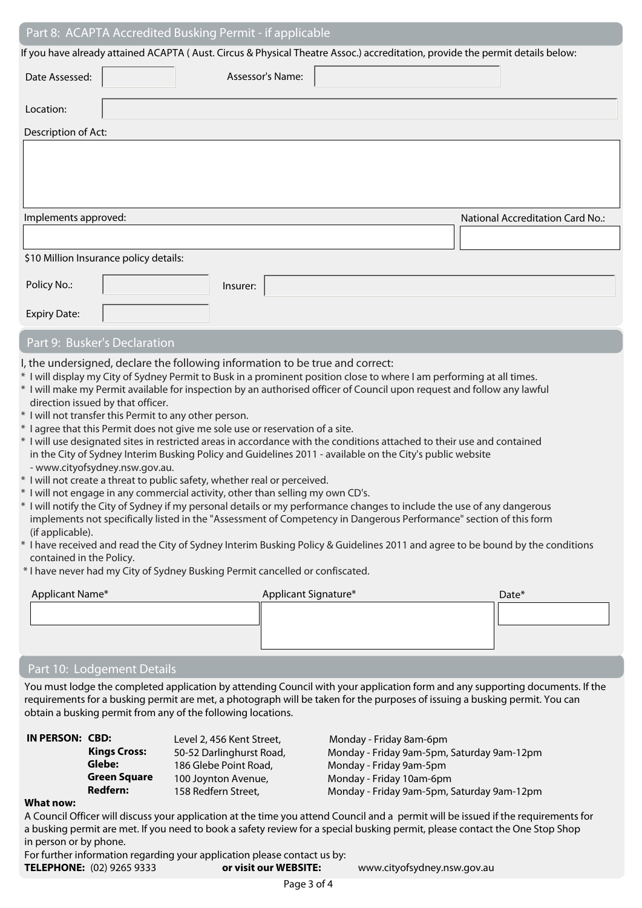|                                                                                   |                                                                                          | Part 8: ACAPTA Accredited Busking Permit - if applicable                                                                                                                                                                                                                                                                                                                                                                                                                                                                                                                                                                                                                                                                                                                                                                                                                                                                                                                                                                                                                                                                                                                                                                                                                                         |                                         |
|-----------------------------------------------------------------------------------|------------------------------------------------------------------------------------------|--------------------------------------------------------------------------------------------------------------------------------------------------------------------------------------------------------------------------------------------------------------------------------------------------------------------------------------------------------------------------------------------------------------------------------------------------------------------------------------------------------------------------------------------------------------------------------------------------------------------------------------------------------------------------------------------------------------------------------------------------------------------------------------------------------------------------------------------------------------------------------------------------------------------------------------------------------------------------------------------------------------------------------------------------------------------------------------------------------------------------------------------------------------------------------------------------------------------------------------------------------------------------------------------------|-----------------------------------------|
|                                                                                   |                                                                                          | If you have already attained ACAPTA (Aust. Circus & Physical Theatre Assoc.) accreditation, provide the permit details below:                                                                                                                                                                                                                                                                                                                                                                                                                                                                                                                                                                                                                                                                                                                                                                                                                                                                                                                                                                                                                                                                                                                                                                    |                                         |
| Date Assessed:                                                                    |                                                                                          | Assessor's Name:                                                                                                                                                                                                                                                                                                                                                                                                                                                                                                                                                                                                                                                                                                                                                                                                                                                                                                                                                                                                                                                                                                                                                                                                                                                                                 |                                         |
| Location:                                                                         |                                                                                          |                                                                                                                                                                                                                                                                                                                                                                                                                                                                                                                                                                                                                                                                                                                                                                                                                                                                                                                                                                                                                                                                                                                                                                                                                                                                                                  |                                         |
| Description of Act:                                                               |                                                                                          |                                                                                                                                                                                                                                                                                                                                                                                                                                                                                                                                                                                                                                                                                                                                                                                                                                                                                                                                                                                                                                                                                                                                                                                                                                                                                                  |                                         |
|                                                                                   |                                                                                          |                                                                                                                                                                                                                                                                                                                                                                                                                                                                                                                                                                                                                                                                                                                                                                                                                                                                                                                                                                                                                                                                                                                                                                                                                                                                                                  |                                         |
| Implements approved:                                                              |                                                                                          |                                                                                                                                                                                                                                                                                                                                                                                                                                                                                                                                                                                                                                                                                                                                                                                                                                                                                                                                                                                                                                                                                                                                                                                                                                                                                                  | <b>National Accreditation Card No.:</b> |
|                                                                                   |                                                                                          |                                                                                                                                                                                                                                                                                                                                                                                                                                                                                                                                                                                                                                                                                                                                                                                                                                                                                                                                                                                                                                                                                                                                                                                                                                                                                                  |                                         |
|                                                                                   | \$10 Million Insurance policy details:                                                   |                                                                                                                                                                                                                                                                                                                                                                                                                                                                                                                                                                                                                                                                                                                                                                                                                                                                                                                                                                                                                                                                                                                                                                                                                                                                                                  |                                         |
| Policy No.:                                                                       |                                                                                          | Insurer:                                                                                                                                                                                                                                                                                                                                                                                                                                                                                                                                                                                                                                                                                                                                                                                                                                                                                                                                                                                                                                                                                                                                                                                                                                                                                         |                                         |
| <b>Expiry Date:</b>                                                               |                                                                                          |                                                                                                                                                                                                                                                                                                                                                                                                                                                                                                                                                                                                                                                                                                                                                                                                                                                                                                                                                                                                                                                                                                                                                                                                                                                                                                  |                                         |
| Part 9: Busker's Declaration                                                      |                                                                                          |                                                                                                                                                                                                                                                                                                                                                                                                                                                                                                                                                                                                                                                                                                                                                                                                                                                                                                                                                                                                                                                                                                                                                                                                                                                                                                  |                                         |
| direction issued by that officer.<br>(if applicable).<br>contained in the Policy. | * I will not transfer this Permit to any other person.<br>- www.cityofsydney.nsw.gov.au. | I, the undersigned, declare the following information to be true and correct:<br>* I will display my City of Sydney Permit to Busk in a prominent position close to where I am performing at all times.<br>* I will make my Permit available for inspection by an authorised officer of Council upon request and follow any lawful<br>* I agree that this Permit does not give me sole use or reservation of a site.<br>* I will use designated sites in restricted areas in accordance with the conditions attached to their use and contained<br>in the City of Sydney Interim Busking Policy and Guidelines 2011 - available on the City's public website<br>* I will not create a threat to public safety, whether real or perceived.<br>* I will not engage in any commercial activity, other than selling my own CD's.<br>* I will notify the City of Sydney if my personal details or my performance changes to include the use of any dangerous<br>implements not specifically listed in the "Assessment of Competency in Dangerous Performance" section of this form<br>* I have received and read the City of Sydney Interim Busking Policy & Guidelines 2011 and agree to be bound by the conditions<br>* I have never had my City of Sydney Busking Permit cancelled or confiscated. |                                         |
| Applicant Name*                                                                   |                                                                                          | Applicant Signature*                                                                                                                                                                                                                                                                                                                                                                                                                                                                                                                                                                                                                                                                                                                                                                                                                                                                                                                                                                                                                                                                                                                                                                                                                                                                             | Date*                                   |
|                                                                                   |                                                                                          |                                                                                                                                                                                                                                                                                                                                                                                                                                                                                                                                                                                                                                                                                                                                                                                                                                                                                                                                                                                                                                                                                                                                                                                                                                                                                                  |                                         |
|                                                                                   |                                                                                          |                                                                                                                                                                                                                                                                                                                                                                                                                                                                                                                                                                                                                                                                                                                                                                                                                                                                                                                                                                                                                                                                                                                                                                                                                                                                                                  |                                         |

#### Part 10: Lodgement Details

You must lodge the completed application by attending Council with your application form and any supporting documents. If the requirements for a busking permit are met, a photograph will be taken for the purposes of issuing a busking permit. You can obtain a busking permit from any of the following locations.

| IN PERSON: CBD: |                     | Level 2, 456 Kent Street, | Monday - Friday 8am-6pm                    |
|-----------------|---------------------|---------------------------|--------------------------------------------|
|                 | <b>Kings Cross:</b> | 50-52 Darlinghurst Road,  | Monday - Friday 9am-5pm, Saturday 9am-12pm |
|                 | Glebe:              | 186 Glebe Point Road,     | Monday - Friday 9am-5pm                    |
|                 | <b>Green Square</b> | 100 Joynton Avenue,       | Monday - Friday 10am-6pm                   |
|                 | Redfern:            | 158 Redfern Street,       | Monday - Friday 9am-5pm, Saturday 9am-12pm |
|                 |                     |                           |                                            |

#### **What now:**

A Council Officer will discuss your application at the time you attend Council and a permit will be issued if the requirements for a busking permit are met. If you need to book a safety review for a special busking permit, please contact the One Stop Shop in person or by phone.

For further information regarding your application please contact us by:<br> **TELEPHONE:** (02) 9265 9333 **or visit our WEBSITE:** 

www.cityofsydney.nsw.gov.au